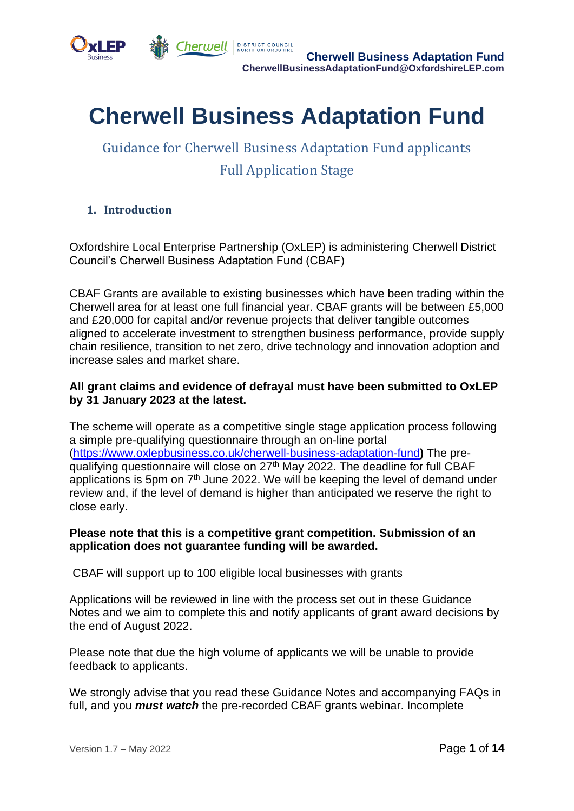



**Cherwell DISTRICT COUNCIL CONCILE CONCILE CONCILE CONCILE BUSINESS Adaptation Fund CherwellBusinessAdaptationFund@OxfordshireLEP.com**

# **Cherwell Business Adaptation Fund**

## Guidance for Cherwell Business Adaptation Fund applicants Full Application Stage

## **1. Introduction**

Oxfordshire Local Enterprise Partnership (OxLEP) is administering Cherwell District Council's Cherwell Business Adaptation Fund (CBAF)

CBAF Grants are available to existing businesses which have been trading within the Cherwell area for at least one full financial year. CBAF grants will be between £5,000 and £20,000 for capital and/or revenue projects that deliver tangible outcomes aligned to accelerate investment to strengthen business performance, provide supply chain resilience, transition to net zero, drive technology and innovation adoption and increase sales and market share.

## **All grant claims and evidence of defrayal must have been submitted to OxLEP by 31 January 2023 at the latest.**

The scheme will operate as a competitive single stage application process following a simple pre-qualifying questionnaire through an on-line portal [\(https://www.oxlepbusiness.co.uk/cherwell-business-adaptation-fund](https://www.oxlepbusiness.co.uk/cherwell-business-adaptation-fund)**)** The prequalifying questionnaire will close on 27th May 2022. The deadline for full CBAF applications is 5pm on  $7<sup>th</sup>$  June 2022. We will be keeping the level of demand under review and, if the level of demand is higher than anticipated we reserve the right to close early.

#### **Please note that this is a competitive grant competition. Submission of an application does not guarantee funding will be awarded.**

CBAF will support up to 100 eligible local businesses with grants

Applications will be reviewed in line with the process set out in these Guidance Notes and we aim to complete this and notify applicants of grant award decisions by the end of August 2022.

Please note that due the high volume of applicants we will be unable to provide feedback to applicants.

We strongly advise that you read these Guidance Notes and accompanying FAQs in full, and you *must watch* the pre-recorded CBAF grants webinar. Incomplete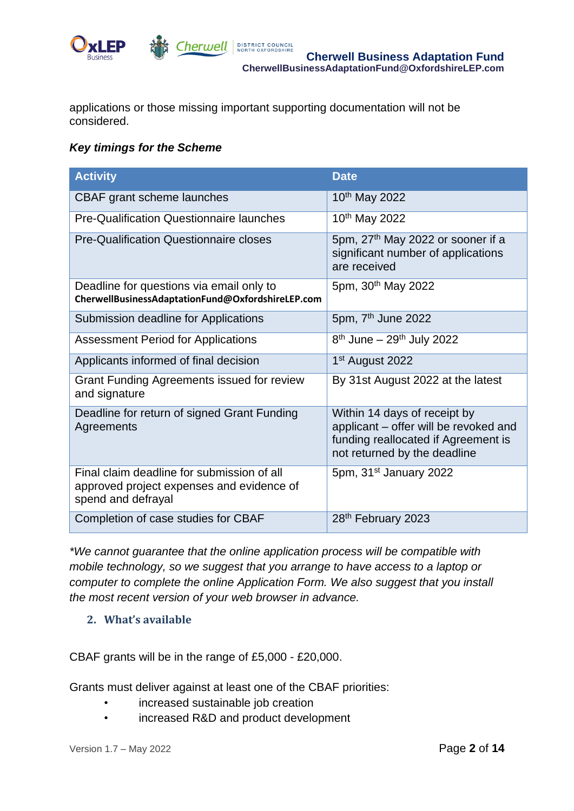

applications or those missing important supporting documentation will not be considered.

## *Key timings for the Scheme*

| <b>Activity</b>                                                                                               | <b>Date</b>                                                                                                                                  |
|---------------------------------------------------------------------------------------------------------------|----------------------------------------------------------------------------------------------------------------------------------------------|
| CBAF grant scheme launches                                                                                    | 10 <sup>th</sup> May 2022                                                                                                                    |
| <b>Pre-Qualification Questionnaire launches</b>                                                               | 10 <sup>th</sup> May 2022                                                                                                                    |
| <b>Pre-Qualification Questionnaire closes</b>                                                                 | 5pm, 27 <sup>th</sup> May 2022 or sooner if a<br>significant number of applications<br>are received                                          |
| Deadline for questions via email only to<br>CherwellBusinessAdaptationFund@OxfordshireLEP.com                 | 5pm, 30 <sup>th</sup> May 2022                                                                                                               |
| Submission deadline for Applications                                                                          | 5pm, 7 <sup>th</sup> June 2022                                                                                                               |
| <b>Assessment Period for Applications</b>                                                                     | $8th$ June – 29 <sup>th</sup> July 2022                                                                                                      |
| Applicants informed of final decision                                                                         | 1 <sup>st</sup> August 2022                                                                                                                  |
| Grant Funding Agreements issued for review<br>and signature                                                   | By 31st August 2022 at the latest                                                                                                            |
| Deadline for return of signed Grant Funding<br>Agreements                                                     | Within 14 days of receipt by<br>applicant - offer will be revoked and<br>funding reallocated if Agreement is<br>not returned by the deadline |
| Final claim deadline for submission of all<br>approved project expenses and evidence of<br>spend and defrayal | 5pm, 31 <sup>st</sup> January 2022                                                                                                           |
| Completion of case studies for CBAF                                                                           | 28 <sup>th</sup> February 2023                                                                                                               |

*\*We cannot guarantee that the online application process will be compatible with mobile technology, so we suggest that you arrange to have access to a laptop or computer to complete the online Application Form. We also suggest that you install the most recent version of your web browser in advance.*

#### **2. What's available**

CBAF grants will be in the range of £5,000 - £20,000.

Grants must deliver against at least one of the CBAF priorities:

- increased sustainable job creation
- increased R&D and product development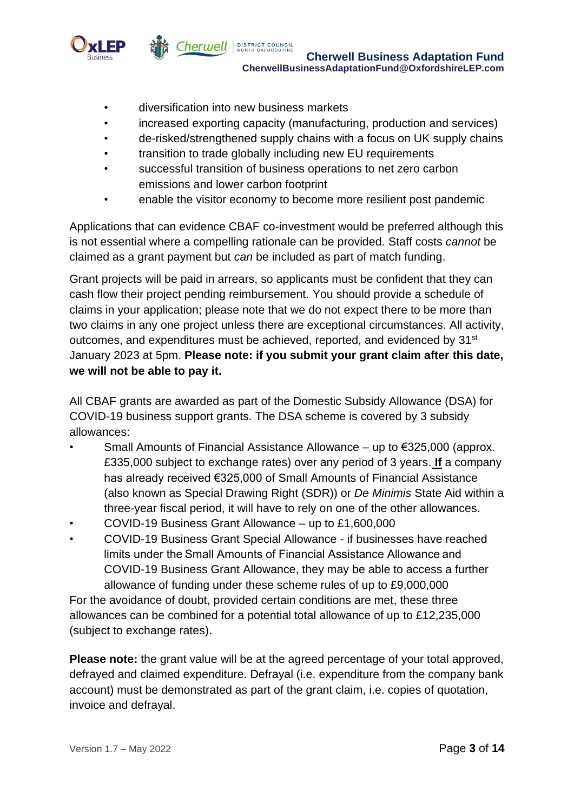

- diversification into new business markets
- increased exporting capacity (manufacturing, production and services)
- de-risked/strengthened supply chains with a focus on UK supply chains
- transition to trade globally including new EU requirements
- successful transition of business operations to net zero carbon emissions and lower carbon footprint
- enable the visitor economy to become more resilient post pandemic

Applications that can evidence CBAF co-investment would be preferred although this is not essential where a compelling rationale can be provided. Staff costs *cannot* be claimed as a grant payment but *can* be included as part of match funding.

Grant projects will be paid in arrears, so applicants must be confident that they can cash flow their project pending reimbursement. You should provide a schedule of claims in your application; please note that we do not expect there to be more than two claims in any one project unless there are exceptional circumstances. All activity, outcomes, and expenditures must be achieved, reported, and evidenced by 31<sup>st</sup> January 2023 at 5pm. **Please note: if you submit your grant claim after this date, we will not be able to pay it.**

All CBAF grants are awarded as part of the Domestic Subsidy Allowance (DSA) for COVID-19 business support grants. The DSA scheme is covered by 3 subsidy allowances:

- Small Amounts of Financial Assistance Allowance up to €325,000 (approx. £335,000 subject to exchange rates) over any period of 3 years. **If** a company has already received €325,000 of Small Amounts of Financial Assistance (also known as Special Drawing Right (SDR)) or *De Minimis* State Aid within a three-year fiscal period, it will have to rely on one of the other allowances.
- COVID-19 Business Grant Allowance up to £1,600,000
- COVID-19 Business Grant Special Allowance if businesses have reached limits under the Small Amounts of Financial Assistance Allowance and COVID-19 Business Grant Allowance, they may be able to access a further allowance of funding under these scheme rules of up to £9,000,000

For the avoidance of doubt, provided certain conditions are met, these three allowances can be combined for a potential total allowance of up to £12,235,000 (subject to exchange rates).

**Please note:** the grant value will be at the agreed percentage of your total approved, defrayed and claimed expenditure. Defrayal (i.e. expenditure from the company bank account) must be demonstrated as part of the grant claim, i.e. copies of quotation, invoice and defrayal.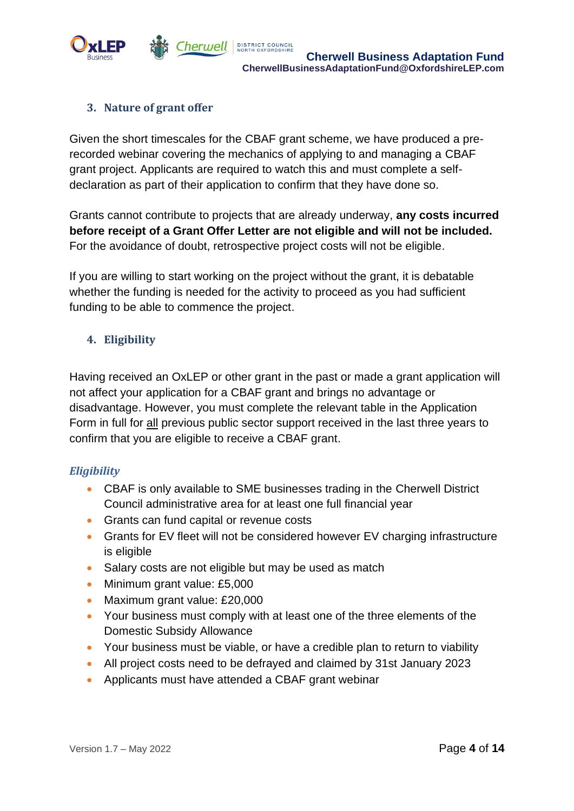

## **3. Nature of grant offer**

Given the short timescales for the CBAF grant scheme, we have produced a prerecorded webinar covering the mechanics of applying to and managing a CBAF grant project. Applicants are required to watch this and must complete a selfdeclaration as part of their application to confirm that they have done so.

Grants cannot contribute to projects that are already underway, **any costs incurred before receipt of a Grant Offer Letter are not eligible and will not be included.** For the avoidance of doubt, retrospective project costs will not be eligible.

If you are willing to start working on the project without the grant, it is debatable whether the funding is needed for the activity to proceed as you had sufficient funding to be able to commence the project.

## **4. Eligibility**

Having received an OxLEP or other grant in the past or made a grant application will not affect your application for a CBAF grant and brings no advantage or disadvantage. However, you must complete the relevant table in the Application Form in full for all previous public sector support received in the last three years to confirm that you are eligible to receive a CBAF grant.

#### *Eligibility*

- CBAF is only available to SME businesses trading in the Cherwell District Council administrative area for at least one full financial year
- Grants can fund capital or revenue costs
- Grants for EV fleet will not be considered however EV charging infrastructure is eligible
- Salary costs are not eligible but may be used as match
- Minimum grant value: £5,000
- Maximum grant value: £20,000
- Your business must comply with at least one of the three elements of the Domestic Subsidy Allowance
- Your business must be viable, or have a credible plan to return to viability
- All project costs need to be defrayed and claimed by 31st January 2023
- Applicants must have attended a CBAF grant webinar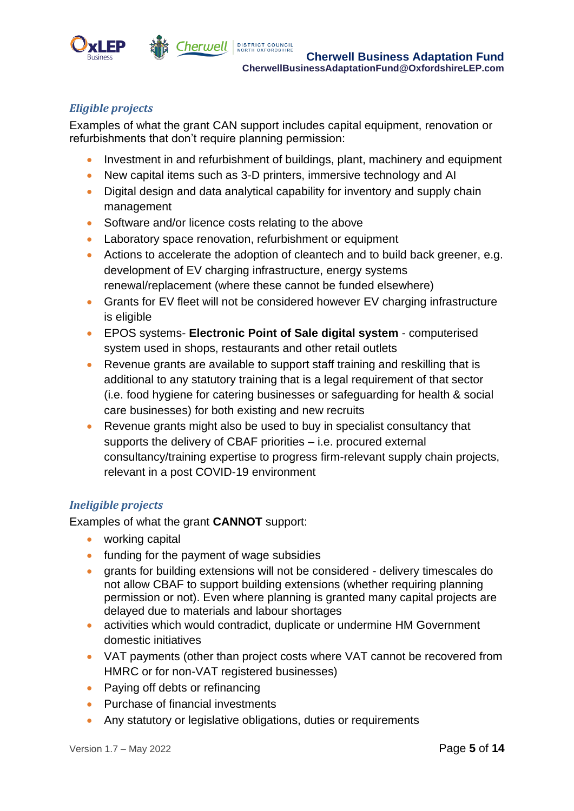

## *Eligible projects*

Examples of what the grant CAN support includes capital equipment, renovation or refurbishments that don't require planning permission:

- Investment in and refurbishment of buildings, plant, machinery and equipment
- New capital items such as 3-D printers, immersive technology and AI
- Digital design and data analytical capability for inventory and supply chain management
- Software and/or licence costs relating to the above
- Laboratory space renovation, refurbishment or equipment
- Actions to accelerate the adoption of cleantech and to build back greener, e.g. development of EV charging infrastructure, energy systems renewal/replacement (where these cannot be funded elsewhere)
- Grants for EV fleet will not be considered however EV charging infrastructure is eligible
- EPOS systems- **Electronic Point of Sale digital system** computerised system used in shops, restaurants and other retail outlets
- Revenue grants are available to support staff training and reskilling that is additional to any statutory training that is a legal requirement of that sector (i.e. food hygiene for catering businesses or safeguarding for health & social care businesses) for both existing and new recruits
- Revenue grants might also be used to buy in specialist consultancy that supports the delivery of CBAF priorities – i.e. procured external consultancy/training expertise to progress firm-relevant supply chain projects, relevant in a post COVID-19 environment

## *Ineligible projects*

Examples of what the grant **CANNOT** support:

- working capital
- funding for the payment of wage subsidies
- grants for building extensions will not be considered delivery timescales do not allow CBAF to support building extensions (whether requiring planning permission or not). Even where planning is granted many capital projects are delayed due to materials and labour shortages
- activities which would contradict, duplicate or undermine HM Government domestic initiatives
- VAT payments (other than project costs where VAT cannot be recovered from HMRC or for non-VAT registered businesses)
- Paying off debts or refinancing
- Purchase of financial investments
- Any statutory or legislative obligations, duties or requirements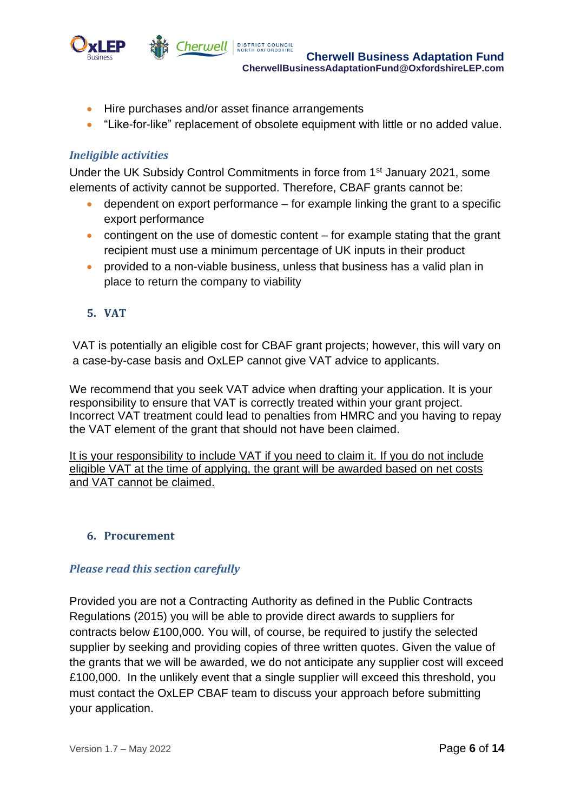

- Hire purchases and/or asset finance arrangements
- "Like-for-like" replacement of obsolete equipment with little or no added value.

#### *Ineligible activities*

Under the UK Subsidy Control Commitments in force from 1st January 2021, some elements of activity cannot be supported. Therefore, CBAF grants cannot be:

- $\bullet$  dependent on export performance for example linking the grant to a specific export performance
- contingent on the use of domestic content  $-$  for example stating that the grant recipient must use a minimum percentage of UK inputs in their product
- provided to a non-viable business, unless that business has a valid plan in place to return the company to viability
- **5. VAT**

VAT is potentially an eligible cost for CBAF grant projects; however, this will vary on a case-by-case basis and OxLEP cannot give VAT advice to applicants.

We recommend that you seek VAT advice when drafting your application. It is your responsibility to ensure that VAT is correctly treated within your grant project. Incorrect VAT treatment could lead to penalties from HMRC and you having to repay the VAT element of the grant that should not have been claimed.

It is your responsibility to include VAT if you need to claim it. If you do not include eligible VAT at the time of applying, the grant will be awarded based on net costs and VAT cannot be claimed.

#### **6. Procurement**

#### *Please read this section carefully*

Provided you are not a Contracting Authority as defined in the Public Contracts Regulations (2015) you will be able to provide direct awards to suppliers for contracts below £100,000. You will, of course, be required to justify the selected supplier by seeking and providing copies of three written quotes. Given the value of the grants that we will be awarded, we do not anticipate any supplier cost will exceed £100,000. In the unlikely event that a single supplier will exceed this threshold, you must contact the OxLEP CBAF team to discuss your approach before submitting your application.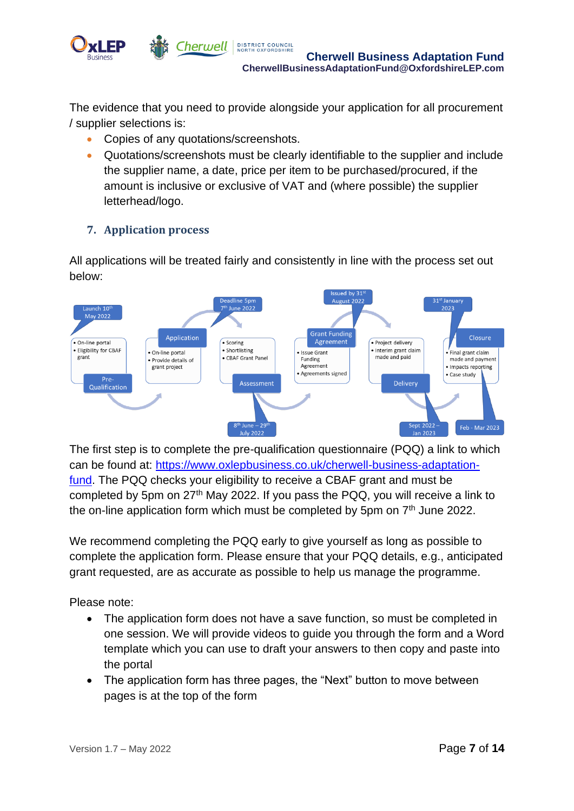

The evidence that you need to provide alongside your application for all procurement / supplier selections is:

- Copies of any quotations/screenshots.
- Quotations/screenshots must be clearly identifiable to the supplier and include the supplier name, a date, price per item to be purchased/procured, if the amount is inclusive or exclusive of VAT and (where possible) the supplier letterhead/logo.

## **7. Application process**

All applications will be treated fairly and consistently in line with the process set out below:



The first step is to complete the pre-qualification questionnaire (PQQ) a link to which can be found at: [https://www.oxlepbusiness.co.uk/cherwell-business-adaptation](https://www.oxlepbusiness.co.uk/cherwell-business-adaptation-fund)[fund.](https://www.oxlepbusiness.co.uk/cherwell-business-adaptation-fund) The PQQ checks your eligibility to receive a CBAF grant and must be completed by 5pm on 27<sup>th</sup> May 2022. If you pass the PQQ, you will receive a link to the on-line application form which must be completed by 5pm on  $7<sup>th</sup>$  June 2022.

We recommend completing the PQQ early to give yourself as long as possible to complete the application form. Please ensure that your PQQ details, e.g., anticipated grant requested, are as accurate as possible to help us manage the programme.

Please note:

- The application form does not have a save function, so must be completed in one session. We will provide videos to guide you through the form and a Word template which you can use to draft your answers to then copy and paste into the portal
- The application form has three pages, the "Next" button to move between pages is at the top of the form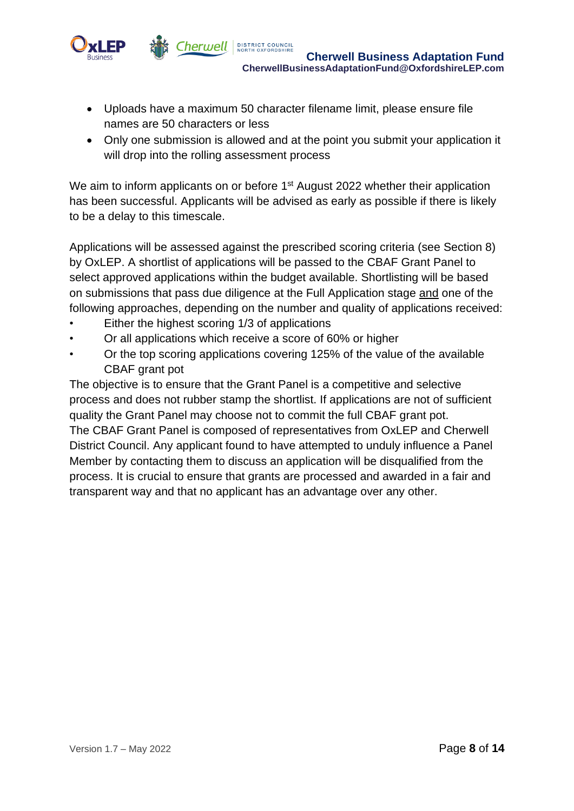

- - Uploads have a maximum 50 character filename limit, please ensure file names are 50 characters or less
	- Only one submission is allowed and at the point you submit your application it will drop into the rolling assessment process

We aim to inform applicants on or before 1<sup>st</sup> August 2022 whether their application has been successful. Applicants will be advised as early as possible if there is likely to be a delay to this timescale.

Applications will be assessed against the prescribed scoring criteria (see Section 8) by OxLEP. A shortlist of applications will be passed to the CBAF Grant Panel to select approved applications within the budget available. Shortlisting will be based on submissions that pass due diligence at the Full Application stage and one of the following approaches, depending on the number and quality of applications received:

- Either the highest scoring 1/3 of applications
- Or all applications which receive a score of 60% or higher
- Or the top scoring applications covering 125% of the value of the available CBAF grant pot

The objective is to ensure that the Grant Panel is a competitive and selective process and does not rubber stamp the shortlist. If applications are not of sufficient quality the Grant Panel may choose not to commit the full CBAF grant pot. The CBAF Grant Panel is composed of representatives from OxLEP and Cherwell District Council. Any applicant found to have attempted to unduly influence a Panel Member by contacting them to discuss an application will be disqualified from the process. It is crucial to ensure that grants are processed and awarded in a fair and transparent way and that no applicant has an advantage over any other.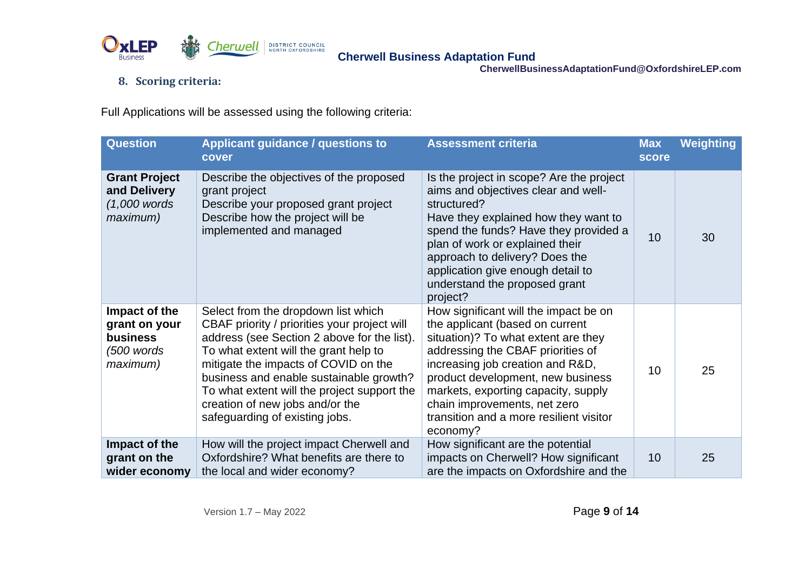

## **8. Scoring criteria:**

Full Applications will be assessed using the following criteria:

| <b>Question</b>                                                        | <b>Applicant guidance / questions to</b><br>cover                                                                                                                                                                                                                                                                                                                                  | <b>Assessment criteria</b>                                                                                                                                                                                                                                                                                                                                  | <b>Max</b><br>score | <b>Weighting</b> |
|------------------------------------------------------------------------|------------------------------------------------------------------------------------------------------------------------------------------------------------------------------------------------------------------------------------------------------------------------------------------------------------------------------------------------------------------------------------|-------------------------------------------------------------------------------------------------------------------------------------------------------------------------------------------------------------------------------------------------------------------------------------------------------------------------------------------------------------|---------------------|------------------|
| <b>Grant Project</b><br>and Delivery<br>$(1,000$ words<br>maximum)     | Describe the objectives of the proposed<br>grant project<br>Describe your proposed grant project<br>Describe how the project will be<br>implemented and managed                                                                                                                                                                                                                    | Is the project in scope? Are the project<br>aims and objectives clear and well-<br>structured?<br>Have they explained how they want to<br>spend the funds? Have they provided a<br>plan of work or explained their<br>approach to delivery? Does the<br>application give enough detail to<br>understand the proposed grant<br>project?                      | 10                  | 30               |
| Impact of the<br>grant on your<br>business<br>$(500$ words<br>maximum) | Select from the dropdown list which<br>CBAF priority / priorities your project will<br>address (see Section 2 above for the list).<br>To what extent will the grant help to<br>mitigate the impacts of COVID on the<br>business and enable sustainable growth?<br>To what extent will the project support the<br>creation of new jobs and/or the<br>safeguarding of existing jobs. | How significant will the impact be on<br>the applicant (based on current<br>situation)? To what extent are they<br>addressing the CBAF priorities of<br>increasing job creation and R&D,<br>product development, new business<br>markets, exporting capacity, supply<br>chain improvements, net zero<br>transition and a more resilient visitor<br>economy? | 10                  | 25               |
| Impact of the<br>grant on the<br>wider economy                         | How will the project impact Cherwell and<br>Oxfordshire? What benefits are there to<br>the local and wider economy?                                                                                                                                                                                                                                                                | How significant are the potential<br>impacts on Cherwell? How significant<br>are the impacts on Oxfordshire and the                                                                                                                                                                                                                                         | 10                  | 25               |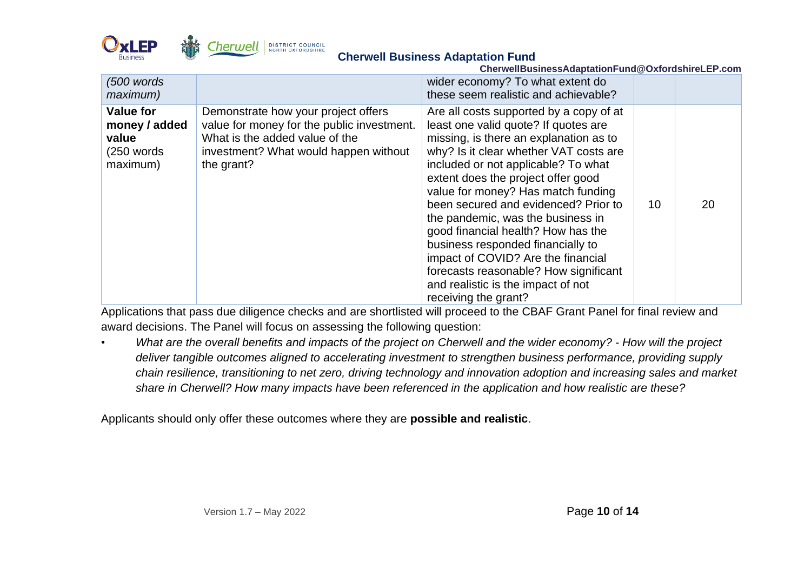

| CherwellBusinessAdaptationFund@OxfordshireLEP.com                      |                                                                                                                                                                            |                                                                                                                                                                                                                                                                                                                                                                                                                                                                                                                                                                                             |    |    |  |
|------------------------------------------------------------------------|----------------------------------------------------------------------------------------------------------------------------------------------------------------------------|---------------------------------------------------------------------------------------------------------------------------------------------------------------------------------------------------------------------------------------------------------------------------------------------------------------------------------------------------------------------------------------------------------------------------------------------------------------------------------------------------------------------------------------------------------------------------------------------|----|----|--|
| $(500$ words<br><i>maximum</i> )                                       |                                                                                                                                                                            | wider economy? To what extent do<br>these seem realistic and achievable?                                                                                                                                                                                                                                                                                                                                                                                                                                                                                                                    |    |    |  |
| <b>Value for</b><br>money / added<br>value<br>$(250$ words<br>maximum) | Demonstrate how your project offers<br>value for money for the public investment.<br>What is the added value of the<br>investment? What would happen without<br>the grant? | Are all costs supported by a copy of at<br>least one valid quote? If quotes are<br>missing, is there an explanation as to<br>why? Is it clear whether VAT costs are<br>included or not applicable? To what<br>extent does the project offer good<br>value for money? Has match funding<br>been secured and evidenced? Prior to<br>the pandemic, was the business in<br>good financial health? How has the<br>business responded financially to<br>impact of COVID? Are the financial<br>forecasts reasonable? How significant<br>and realistic is the impact of not<br>receiving the grant? | 10 | 20 |  |

Applications that pass due diligence checks and are shortlisted will proceed to the CBAF Grant Panel for final review and award decisions. The Panel will focus on assessing the following question:

• *What are the overall benefits and impacts of the project on Cherwell and the wider economy? - How will the project deliver tangible outcomes aligned to accelerating investment to strengthen business performance, providing supply chain resilience, transitioning to net zero, driving technology and innovation adoption and increasing sales and market share in Cherwell? How many impacts have been referenced in the application and how realistic are these?* 

Applicants should only offer these outcomes where they are **possible and realistic**.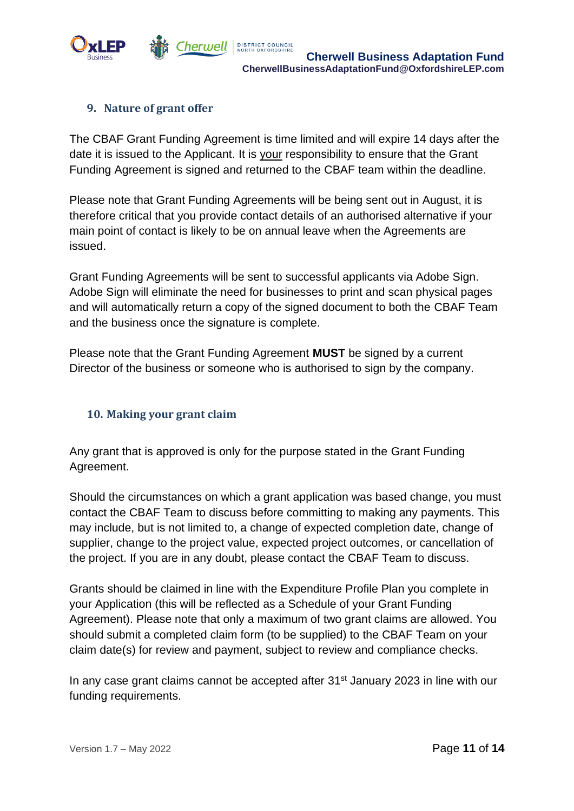

## **9. Nature of grant offer**

The CBAF Grant Funding Agreement is time limited and will expire 14 days after the date it is issued to the Applicant. It is your responsibility to ensure that the Grant Funding Agreement is signed and returned to the CBAF team within the deadline.

Please note that Grant Funding Agreements will be being sent out in August, it is therefore critical that you provide contact details of an authorised alternative if your main point of contact is likely to be on annual leave when the Agreements are issued.

Grant Funding Agreements will be sent to successful applicants via Adobe Sign. Adobe Sign will eliminate the need for businesses to print and scan physical pages and will automatically return a copy of the signed document to both the CBAF Team and the business once the signature is complete.

Please note that the Grant Funding Agreement **MUST** be signed by a current Director of the business or someone who is authorised to sign by the company.

#### **10. Making your grant claim**

Any grant that is approved is only for the purpose stated in the Grant Funding Agreement.

Should the circumstances on which a grant application was based change, you must contact the CBAF Team to discuss before committing to making any payments. This may include, but is not limited to, a change of expected completion date, change of supplier, change to the project value, expected project outcomes, or cancellation of the project. If you are in any doubt, please contact the CBAF Team to discuss.

Grants should be claimed in line with the Expenditure Profile Plan you complete in your Application (this will be reflected as a Schedule of your Grant Funding Agreement). Please note that only a maximum of two grant claims are allowed. You should submit a completed claim form (to be supplied) to the CBAF Team on your claim date(s) for review and payment, subject to review and compliance checks.

In any case grant claims cannot be accepted after 31<sup>st</sup> January 2023 in line with our funding requirements.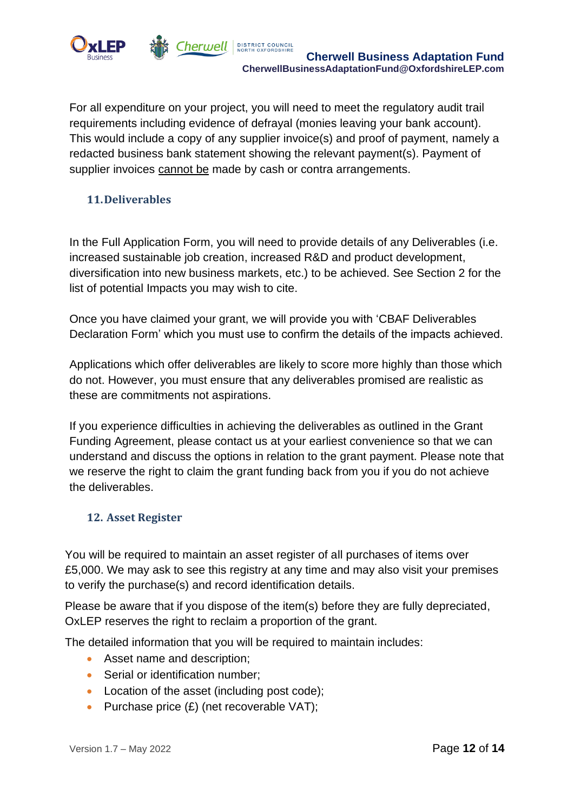

For all expenditure on your project, you will need to meet the regulatory audit trail requirements including evidence of defrayal (monies leaving your bank account). This would include a copy of any supplier invoice(s) and proof of payment, namely a redacted business bank statement showing the relevant payment(s). Payment of supplier invoices cannot be made by cash or contra arrangements.

## **11.Deliverables**

In the Full Application Form, you will need to provide details of any Deliverables (i.e. increased sustainable job creation, increased R&D and product development, diversification into new business markets, etc.) to be achieved. See Section 2 for the list of potential Impacts you may wish to cite.

Once you have claimed your grant, we will provide you with 'CBAF Deliverables Declaration Form' which you must use to confirm the details of the impacts achieved.

Applications which offer deliverables are likely to score more highly than those which do not. However, you must ensure that any deliverables promised are realistic as these are commitments not aspirations.

If you experience difficulties in achieving the deliverables as outlined in the Grant Funding Agreement, please contact us at your earliest convenience so that we can understand and discuss the options in relation to the grant payment. Please note that we reserve the right to claim the grant funding back from you if you do not achieve the deliverables.

## **12. Asset Register**

You will be required to maintain an asset register of all purchases of items over £5,000. We may ask to see this registry at any time and may also visit your premises to verify the purchase(s) and record identification details.

Please be aware that if you dispose of the item(s) before they are fully depreciated, OxLEP reserves the right to reclaim a proportion of the grant.

The detailed information that you will be required to maintain includes:

- Asset name and description;
- Serial or identification number;
- Location of the asset (including post code);
- Purchase price  $(E)$  (net recoverable VAT);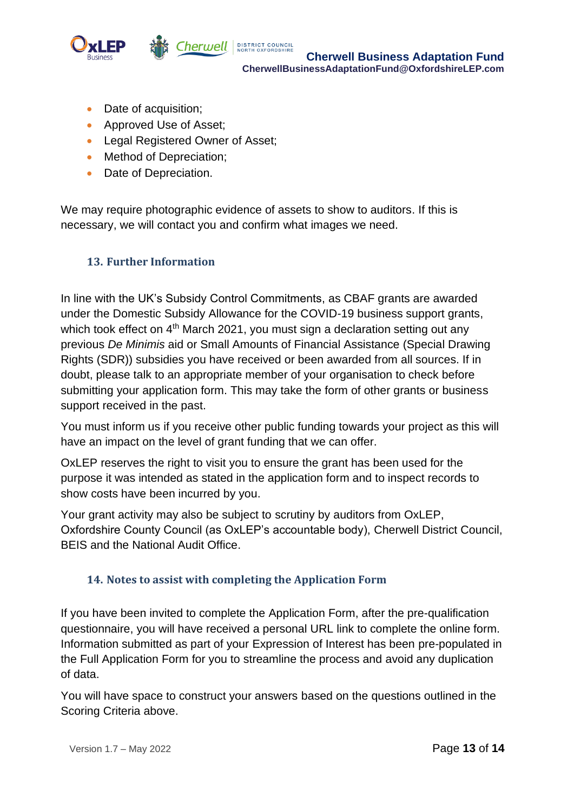

**Cherwell BUSTRICT COUNCIL CONCIL CONCIL BUSINESS Adaptation Fund CherwellBusinessAdaptationFund@OxfordshireLEP.com**

- Date of acquisition;
- Approved Use of Asset;
- Legal Registered Owner of Asset;
- Method of Depreciation;
- Date of Depreciation.

We may require photographic evidence of assets to show to auditors. If this is necessary, we will contact you and confirm what images we need.

## **13. Further Information**

In line with the UK's Subsidy Control Commitments, as CBAF grants are awarded under the Domestic Subsidy Allowance for the COVID-19 business support grants, which took effect on  $4<sup>th</sup>$  March 2021, you must sign a declaration setting out any previous *De Minimis* aid or Small Amounts of Financial Assistance (Special Drawing Rights (SDR)) subsidies you have received or been awarded from all sources. If in doubt, please talk to an appropriate member of your organisation to check before submitting your application form. This may take the form of other grants or business support received in the past.

You must inform us if you receive other public funding towards your project as this will have an impact on the level of grant funding that we can offer.

OxLEP reserves the right to visit you to ensure the grant has been used for the purpose it was intended as stated in the application form and to inspect records to show costs have been incurred by you.

Your grant activity may also be subject to scrutiny by auditors from OxLEP, Oxfordshire County Council (as OxLEP's accountable body), Cherwell District Council, BEIS and the National Audit Office.

#### **14. Notes to assist with completing the Application Form**

If you have been invited to complete the Application Form, after the pre-qualification questionnaire, you will have received a personal URL link to complete the online form. Information submitted as part of your Expression of Interest has been pre-populated in the Full Application Form for you to streamline the process and avoid any duplication of data.

You will have space to construct your answers based on the questions outlined in the Scoring Criteria above.